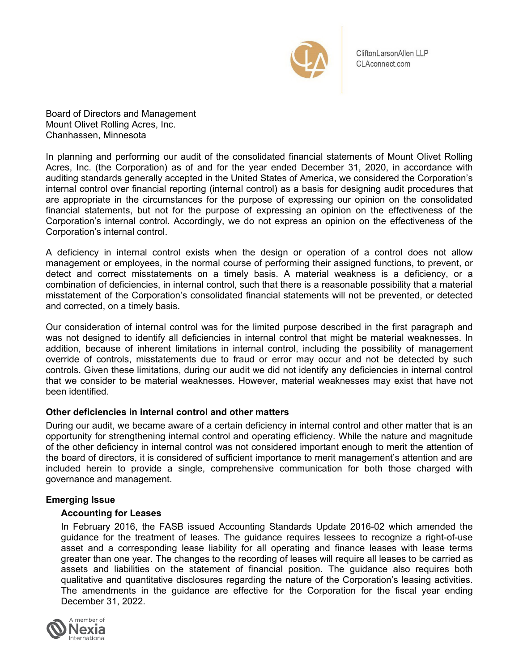

CliftonLarsonAllen LLP CLAconnect.com

Board of Directors and Management Mount Olivet Rolling Acres, Inc. Chanhassen, Minnesota

In planning and performing our audit of the consolidated financial statements of Mount Olivet Rolling Acres, Inc. (the Corporation) as of and for the year ended December 31, 2020, in accordance with auditing standards generally accepted in the United States of America, we considered the Corporation's internal control over financial reporting (internal control) as a basis for designing audit procedures that are appropriate in the circumstances for the purpose of expressing our opinion on the consolidated financial statements, but not for the purpose of expressing an opinion on the effectiveness of the Corporation's internal control. Accordingly, we do not express an opinion on the effectiveness of the Corporation's internal control.

A deficiency in internal control exists when the design or operation of a control does not allow management or employees, in the normal course of performing their assigned functions, to prevent, or detect and correct misstatements on a timely basis. A material weakness is a deficiency, or a combination of deficiencies, in internal control, such that there is a reasonable possibility that a material misstatement of the Corporation's consolidated financial statements will not be prevented, or detected and corrected, on a timely basis.

Our consideration of internal control was for the limited purpose described in the first paragraph and was not designed to identify all deficiencies in internal control that might be material weaknesses. In addition, because of inherent limitations in internal control, including the possibility of management override of controls, misstatements due to fraud or error may occur and not be detected by such controls. Given these limitations, during our audit we did not identify any deficiencies in internal control that we consider to be material weaknesses. However, material weaknesses may exist that have not been identified.

## **Other deficiencies in internal control and other matters**

During our audit, we became aware of a certain deficiency in internal control and other matter that is an opportunity for strengthening internal control and operating efficiency. While the nature and magnitude of the other deficiency in internal control was not considered important enough to merit the attention of the board of directors, it is considered of sufficient importance to merit management's attention and are included herein to provide a single, comprehensive communication for both those charged with governance and management.

## **Emerging Issue**

## **Accounting for Leases**

In February 2016, the FASB issued Accounting Standards Update 2016-02 which amended the guidance for the treatment of leases. The guidance requires lessees to recognize a right-of-use asset and a corresponding lease liability for all operating and finance leases with lease terms greater than one year. The changes to the recording of leases will require all leases to be carried as assets and liabilities on the statement of financial position. The guidance also requires both qualitative and quantitative disclosures regarding the nature of the Corporation's leasing activities. The amendments in the guidance are effective for the Corporation for the fiscal year ending December 31, 2022.